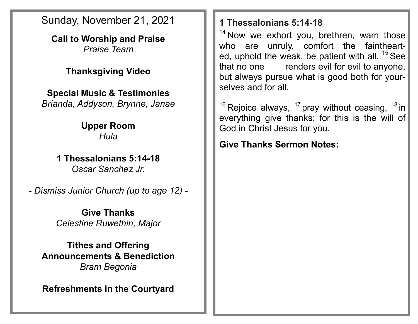Sunday, November 21, 2021

**Call to Worship and Praise** *Praise Team*

## **Thanksgiving Video**

**Special Music & Testimonies** *Brianda, Addyson, Brynne, Janae*

> **Upper Room** *Hula*

**1 Thessalonians 5:14-18** *Oscar Sanchez Jr.*

*- Dismiss Junior Church (up to age 12) -*

**Give Thanks** *Celestine Ruwethin, Major*

**Tithes and Offering Announcements & Benediction** *Bram Begonia*

**Refreshments in the Courtyard**

## **1 Thessalonians 5:14-18**

 $14$  Now we exhort you, brethren, warn those who are unruly, comfort the fainthearted, uphold the weak, be patient with all.  $15$  See that no one renders evil for evil to anyone, but always pursue what is good both for yourselves and for all.

<sup>16</sup> Rejoice always,  $17$  pray without ceasing,  $18$  in everything give thanks; for this is the will of God in Christ Jesus for you.

**Give Thanks Sermon Notes:**